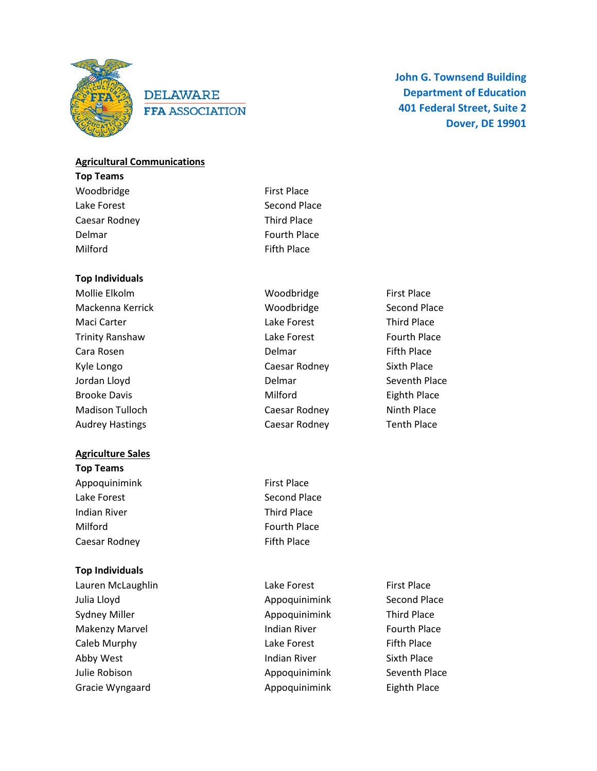

# **DELAWARE FFA ASSOCIATION**

**John G. Townsend Building Department of Education 401 Federal Street, Suite 2 Dover, DE 19901**

### **Agricultural Communications**

**Top Teams**  Woodbridge **First Place** Lake Forest **Second Place** Second Place Caesar Rodney **Third Place** Delmar **Fourth Place** Milford **Fifth Place** 

### **Top Individuals**

Mollie Elkolm **Mollie Elkolm** Woodbridge **First Place** Mackenna Kerrick **Mackenna Kerrick** Second Place Second Place Maci Carter **Lake Forest** Carter Third Place Trinity Ranshaw Lake Forest Fourth Place Cara Rosen **Cara Rosen Cara Rosen Cara Rosen Cara Rosen** Delmar Fifth Place Kyle Longo **Caesar Rodney** Caesar Rodney Sixth Place Jordan Lloyd **Delmar** Delmar Seventh Place Brooke Davis **Eighth Place** Milford **Eighth Place** Madison Tulloch **Caesar Rodney** Caesar Rodney Ninth Place Audrey Hastings Tenth Place Caesar Rodney Tenth Place

### **Agriculture Sales**

**Top Teams** Appoquinimink First Place Lake Forest **Second Place** Second Place Indian River **Third Place** Milford **Fourth Place** Caesar Rodney **Fifth Place** 

### **Top Individuals**

Lauren McLaughlin **Lake Forest** First Place Julia Lloyd **Appoquinimink** Second Place Sydney Miller **Appoquinimink** Third Place Makenzy Marvel **Indian River** Fourth Place Caleb Murphy **Caleb Murphy Caleb Murphy Caleb Murphy Caleb Murphy Caleb Murphy Caleb Murphy Caleb Murphy Caleb Murphy Caleb Murphy Caleb Murphy Caleb Murphy Caleb Murphy Caleb Murphy Caleb Murphy** Abby West **Indian River** Sixth Place Julie Robison **Appoquinimink** Seventh Place Gracie Wyngaard **Appoquinimink** Eighth Place

- 
- 
- 
- 
-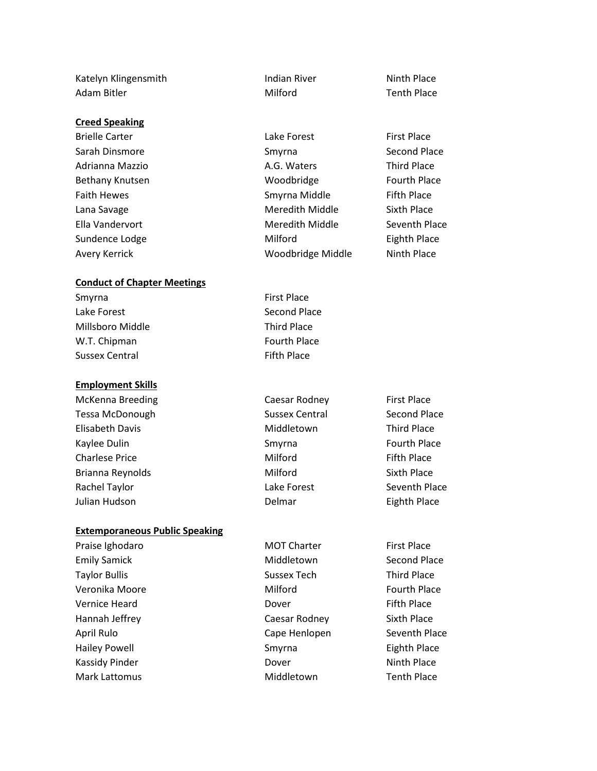Katelyn Klingensmith **Indian River** Ninth Place Adam Bitler **Milford** Milford Tenth Place

### **Creed Speaking**

### **Conduct of Chapter Meetings**

Smyrna First Place Lake Forest **Second Place** Second Place Millsboro Middle Third Place W.T. Chipman Fourth Place Sussex Central Fifth Place

### **Employment Skills**

Tessa McDonough Sussex Central Second Place Elisabeth Davis **Middletown** Third Place Kaylee Dulin **Smyrna** Smyrna Fourth Place Charlese Price **Figure 2018** Milford **Fifth Place** Brianna Reynolds **Milford** Sixth Place Rachel Taylor **National Community Claude Forest** Seventh Place Julian Hudson Delmar Eighth Place

### **Extemporaneous Public Speaking**

Emily Samick **Middletown** Second Place Taylor Bullis **Taylor Bullis** Sussex Tech Third Place Veronika Moore **Milford Milford Fourth Place** Vernice Heard **Dover Container Black** Dover **Fifth Place** Hannah Jeffrey Caesar Rodney Sixth Place April Rulo **Cape Henlopen** Seventh Place Hailey Powell **Eighth Place** Smyrna **Eighth Place** Kassidy Pinder **Ninth Place Ninth Place Ninth Place** Mark Lattomus Middletown Tenth Place

Brielle Carter **Lake Forest** First Place Sarah Dinsmore Sarah Dinsmore Smyrna Second Place Adrianna Mazzio **A.G. Waters** Third Place Bethany Knutsen **Example 2** Woodbridge **Fourth Place** Faith Hewes **Smyrna Middle** Fifth Place Lana Savage **Meredith Middle** Sixth Place Ella Vandervort **Meredith Middle** Seventh Place Sundence Lodge **Milford Milford** Eighth Place Avery Kerrick **Ninter and Avery Kerrick** Woodbridge Middle Ninth Place

McKenna Breeding The Caesar Rodney First Place

Praise Ighodaro **MOT Charter** First Place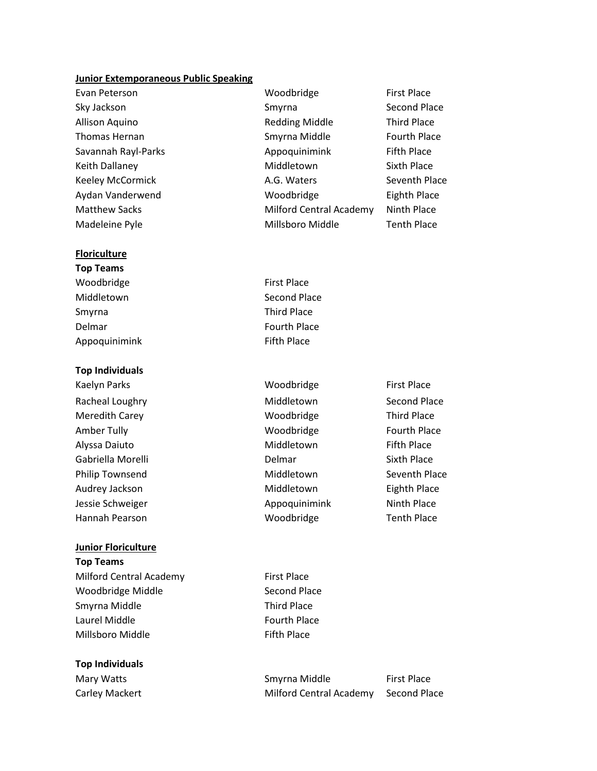### **Junior Extemporaneous Public Speaking**

Evan Peterson **Example 2018** Woodbridge **First Place** 

### **Floriculture**

**Top Individuals**

- **Top Teams** Woodbridge **First Place** Middletown Second Place Smyrna Third Place Delmar **Fourth Place** Appoquinimink Fifth Place
- Kaelyn Parks **Music Communist Place** Woodbridge **First Place** Racheal Loughry **Middletown** Second Place Meredith Carey **Music Contract Contract Contract Contract Contract Contract Contract Contract Contract Contract Contract Contract Contract Contract Contract Contract Contract Contract Contract Contract Contract Contract Co** Amber Tully **Amber Tully Example 20** Noodbridge **Fourth Place** Alyssa Daiuto **Middletown** Middletown Fifth Place Gabriella Morelli **Sixth Place Communist Communist Communist Communist Communist Communist Communist Communist Communist Communist Communist Communist Communist Communist Communist Communist Communist Communist Communist** Philip Townsend **Middletown** Seventh Place Audrey Jackson **Middletown** Eighth Place Jessie Schweiger **Appoquinimink** Minth Place Hannah Pearson New Yoodbridge Tenth Place
	-
- Milford Central Academy First Place Woodbridge Middle Second Place Smyrna Middle Third Place Laurel Middle **Fourth Place** Millsboro Middle **Fifth Place**

Mary Watts **Mary Watts** Smyrna Middle First Place Carley Mackert Milford Central Academy Second Place

**Top Individuals**

**Junior Floriculture**

**Top Teams**

- Sky Jackson Show Smyrna Second Place Allison Aquino **Redding Middle** Third Place Thomas Hernan Thomas Hernan Smyrna Middle Fourth Place Savannah Rayl-Parks **All and Appoquinimink** Fifth Place Keith Dallaney **Middletown** Sixth Place Keeley McCormick **A.G. Waters** Seventh Place Aydan Vanderwend Woodbridge Eighth Place Matthew Sacks **Milford Central Academy** Ninth Place
- Madeleine Pyle **Millsboro Middle** Tenth Place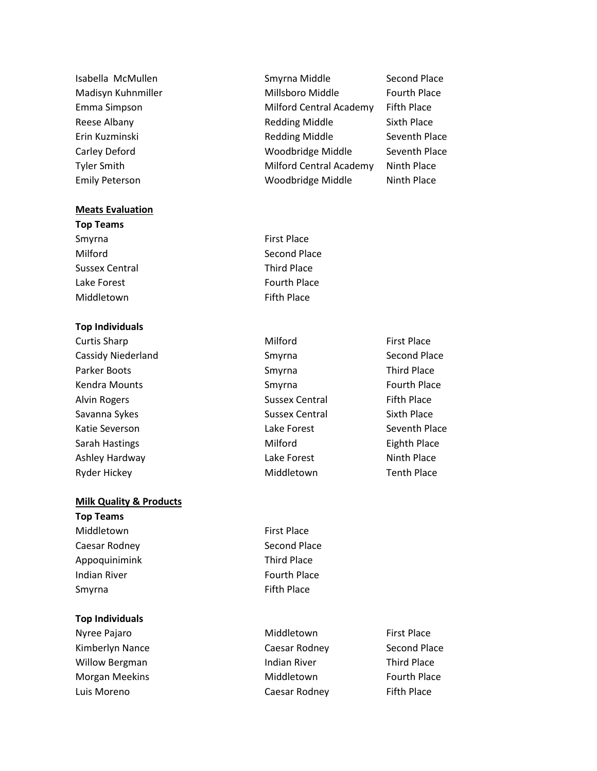### **Meats Evaluation**

**Top Teams** Smyrna First Place Milford Second Place Sussex Central Third Place Lake Forest **Fourth Place** 

### **Top Individuals**

### **Milk Quality & Products**

**Top Teams** Middletown First Place Caesar Rodney **Second Place** Second Place Appoquinimink Third Place Indian River **Fourth Place** Smyrna **Fifth Place** 

### **Top Individuals**

Nyree Pajaro **Middletown** First Place Kimberlyn Nance **Caesar Rodney** Second Place Willow Bergman **Indian River** Third Place Morgan Meekins **Middletown** Middletown **Fourth Place** Luis Moreno Caesar Rodney Fifth Place

Isabella McMullen Summa Smyrna Middle Second Place Madisyn Kuhnmiller **Millsboro Middle** Fourth Place Emma Simpson **Emma Simpson** Milford Central Academy Fifth Place Reese Albany **Redding Middle** Sixth Place Erin Kuzminski **Redding Middle** Seventh Place Carley Deford Woodbridge Middle Seventh Place Tyler Smith Milford Central Academy Ninth Place Emily Peterson **Ninth Place** Woodbridge Middle Ninth Place

Middletown **Fifth Place** 

Curtis Sharp **Milford First Place** Cassidy Niederland Smyrna Second Place Parker Boots **Smyrna** Smyrna Third Place Kendra Mounts **Smyrna** Smyrna **Smyrna** Fourth Place Alvin Rogers **Sussex Central** Fifth Place Savanna Sykes Sussex Central Sixth Place Katie Severson and Lake Forest Seventh Place Sarah Hastings **Milford** Eighth Place Ashley Hardway **National State Lake Forest** Ninth Place Ryder Hickey **Middletown** Middletown Tenth Place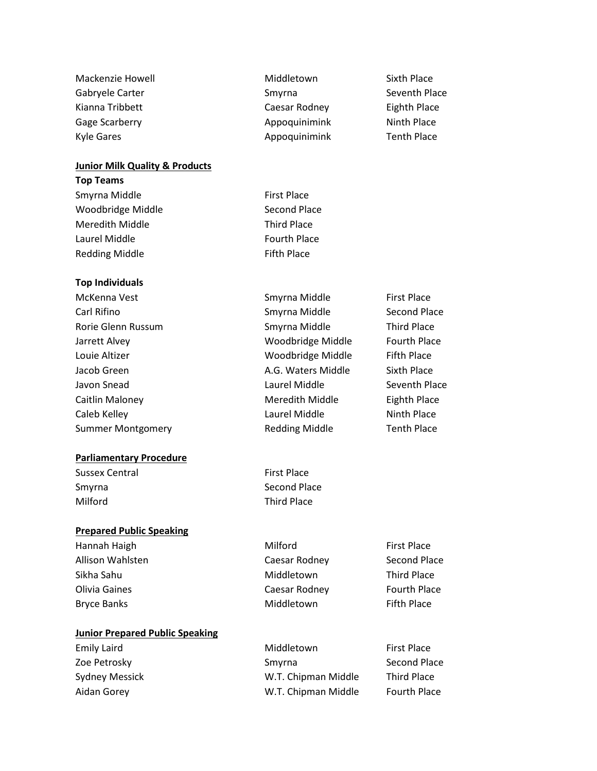| Mackenzie Howell | Middletown    | Sixth Place        |
|------------------|---------------|--------------------|
| Gabryele Carter  | Smyrna        | Seventh Place      |
| Kianna Tribbett  | Caesar Rodney | Eighth Place       |
| Gage Scarberry   | Appoquinimink | Ninth Place        |
| Kyle Gares       | Appoquinimink | <b>Tenth Place</b> |

# **Junior Milk Quality & Products**

| <b>Top Teams</b>  |                     |
|-------------------|---------------------|
| Smyrna Middle     | <b>First Place</b>  |
| Woodbridge Middle | Second Place        |
| Meredith Middle   | <b>Third Place</b>  |
| Laurel Middle     | <b>Fourth Place</b> |
| Redding Middle    | <b>Fifth Place</b>  |
|                   |                     |

### **Top Individuals**

| McKenna Vest             | Smyrna Middle         | <b>First Place</b>  |
|--------------------------|-----------------------|---------------------|
| Carl Rifino              | Smyrna Middle         | Second Place        |
| Rorie Glenn Russum       | Smyrna Middle         | <b>Third Place</b>  |
| Jarrett Alvey            | Woodbridge Middle     | <b>Fourth Place</b> |
| Louie Altizer            | Woodbridge Middle     | <b>Fifth Place</b>  |
| Jacob Green              | A.G. Waters Middle    | Sixth Place         |
| Javon Snead              | Laurel Middle         | Seventh Place       |
| Caitlin Maloney          | Meredith Middle       | <b>Eighth Place</b> |
| Caleb Kelley             | Laurel Middle         | Ninth Place         |
| <b>Summer Montgomery</b> | <b>Redding Middle</b> | <b>Tenth Place</b>  |
|                          |                       |                     |

# **Parliamentary Procedure**

Sussex Central First Place Milford Third Place

# **Prepared Public Speaking**

Allison Wahlsten **Caesar Rodney** Second Place Sikha Sahu **Middletown** Third Place Olivia Gaines **Caesar Rodney Caesar Rodney Caesar Rodney Caesar Rodney Caesar Rodney Caesar Rodney** Bryce Banks **Middletown** Middletown Fifth Place

# **Junior Prepared Public Speaking**

Smyrna Second Place

Hannah Haigh **Milford Milford First Place** 

Emily Laird **Emily Laird Emily Laird Emily Laird First Place** Zoe Petrosky **SMYRID SMYRID Second Place** Smyrna Second Place Sydney Messick **M.T. Chipman Middle** Third Place Aidan Gorey **M.T. Chipman Middle** Fourth Place